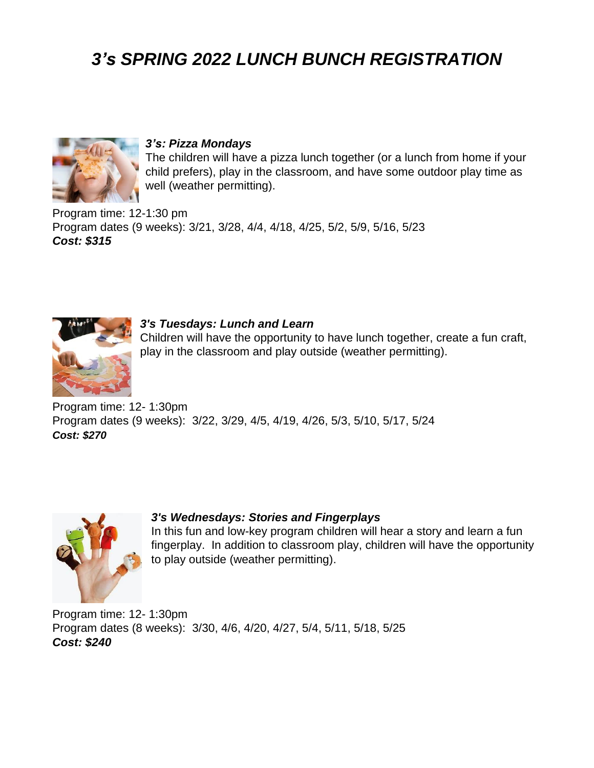# *3's SPRING 2022 LUNCH BUNCH REGISTRATION*



### *3's: Pizza Mondays*

The children will have a pizza lunch together (or a lunch from home if your child prefers), play in the classroom, and have some outdoor play time as well (weather permitting).

Program time: 12-1:30 pm Program dates (9 weeks): 3/21, 3/28, 4/4, 4/18, 4/25, 5/2, 5/9, 5/16, 5/23 *Cost: \$315*



#### *3's Tuesdays: Lunch and Learn*

Children will have the opportunity to have lunch together, create a fun craft, play in the classroom and play outside (weather permitting).

Program time: 12- 1:30pm Program dates (9 weeks): 3/22, 3/29, 4/5, 4/19, 4/26, 5/3, 5/10, 5/17, 5/24 *Cost: \$270*



### *3's Wednesdays: Stories and Fingerplays*

In this fun and low-key program children will hear a story and learn a fun fingerplay. In addition to classroom play, children will have the opportunity to play outside (weather permitting).

Program time: 12- 1:30pm Program dates (8 weeks): 3/30, 4/6, 4/20, 4/27, 5/4, 5/11, 5/18, 5/25 *Cost: \$240*